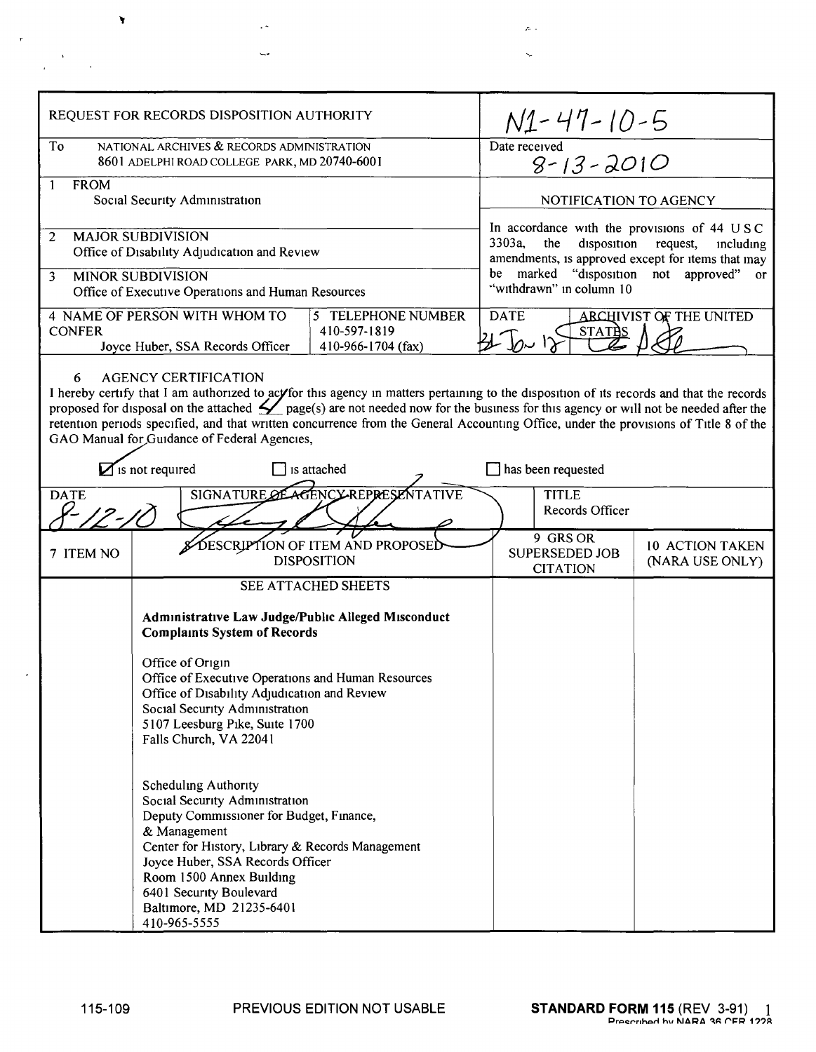| REQUEST FOR RECORDS DISPOSITION AUTHORITY                                                                                                                                                                                                                                                                                                                                                                                                                                                                                                                                                 |                                                                                                                                                                                                                                                                                                                                                 |  |                                                                                                                                                                                                                                     |                                                                |                                           |  |
|-------------------------------------------------------------------------------------------------------------------------------------------------------------------------------------------------------------------------------------------------------------------------------------------------------------------------------------------------------------------------------------------------------------------------------------------------------------------------------------------------------------------------------------------------------------------------------------------|-------------------------------------------------------------------------------------------------------------------------------------------------------------------------------------------------------------------------------------------------------------------------------------------------------------------------------------------------|--|-------------------------------------------------------------------------------------------------------------------------------------------------------------------------------------------------------------------------------------|----------------------------------------------------------------|-------------------------------------------|--|
| To<br>NATIONAL ARCHIVES & RECORDS ADMINISTRATION<br>8601 ADELPHI ROAD COLLEGE PARK, MD 20740-6001                                                                                                                                                                                                                                                                                                                                                                                                                                                                                         |                                                                                                                                                                                                                                                                                                                                                 |  | $N_1 - 47 - 10 - 5$<br>Date received<br>$8 - 13 - 2010$                                                                                                                                                                             |                                                                |                                           |  |
| $\mathbf{1}$<br><b>FROM</b><br>Social Security Administration                                                                                                                                                                                                                                                                                                                                                                                                                                                                                                                             |                                                                                                                                                                                                                                                                                                                                                 |  | NOTIFICATION TO AGENCY                                                                                                                                                                                                              |                                                                |                                           |  |
| <b>MAJOR SUBDIVISION</b><br>2<br>Office of Disability Adjudication and Review<br>3<br><b>MINOR SUBDIVISION</b><br>Office of Executive Operations and Human Resources                                                                                                                                                                                                                                                                                                                                                                                                                      |                                                                                                                                                                                                                                                                                                                                                 |  | In accordance with the provisions of 44 USC<br>3303a,<br>disposition<br>the<br>request,<br>including<br>amendments, is approved except for items that may<br>marked "disposition not approved" or<br>be<br>"withdrawn" in column 10 |                                                                |                                           |  |
| <b>CONFER</b>                                                                                                                                                                                                                                                                                                                                                                                                                                                                                                                                                                             | 4 NAME OF PERSON WITH WHOM TO<br>5 TELEPHONE NUMBER<br>410-597-1819<br>410-966-1704 (fax)<br>Joyce Huber, SSA Records Officer                                                                                                                                                                                                                   |  |                                                                                                                                                                                                                                     | <b>ARCHIVIST OF THE UNITED</b><br><b>DATE</b><br><b>STATES</b> |                                           |  |
| <b>AGENCY CERTIFICATION</b><br>6<br>I hereby certify that I am authorized to acy for this agency in matters pertaining to the disposition of its records and that the records<br>proposed for disposal on the attached $\angle$ page(s) are not needed now for the business for this agency or will not be needed after the<br>retention periods specified, and that written concurrence from the General Accounting Office, under the provisions of Title 8 of the<br>GAO Manual for Guidance of Federal Agencies,<br>$\sum$ is not required<br>is attached<br>$\Box$ has been requested |                                                                                                                                                                                                                                                                                                                                                 |  |                                                                                                                                                                                                                                     |                                                                |                                           |  |
| AGENCY REPRESENTATIVE<br><b>SIGNATURE OF</b><br><b>DATE</b>                                                                                                                                                                                                                                                                                                                                                                                                                                                                                                                               |                                                                                                                                                                                                                                                                                                                                                 |  | <b>TITLE</b><br>Records Officer                                                                                                                                                                                                     |                                                                |                                           |  |
| 7 ITEM NO                                                                                                                                                                                                                                                                                                                                                                                                                                                                                                                                                                                 | DESCRIPTION OF ITEM AND PROPOSED<br><b>DISPOSITION</b>                                                                                                                                                                                                                                                                                          |  | $\overline{9}$ GRS OR<br><b>SUPERSEDED JOB</b><br><b>CITATION</b>                                                                                                                                                                   |                                                                | <b>10 ACTION TAKEN</b><br>(NARA USE ONLY) |  |
|                                                                                                                                                                                                                                                                                                                                                                                                                                                                                                                                                                                           | <b>SEE ATTACHED SHEETS</b><br>Administrative Law Judge/Public Alleged Misconduct<br><b>Complaints System of Records</b><br>Office of Origin<br>Office of Executive Operations and Human Resources<br>Office of Disability Adjudication and Review<br>Social Security Administration<br>5107 Leesburg Pike, Suite 1700<br>Falls Church, VA 22041 |  |                                                                                                                                                                                                                                     |                                                                |                                           |  |
|                                                                                                                                                                                                                                                                                                                                                                                                                                                                                                                                                                                           | Scheduling Authority<br>Social Security Administration<br>Deputy Commissioner for Budget, Finance,<br>& Management<br>Center for History, Library & Records Management<br>Joyce Huber, SSA Records Officer<br>Room 1500 Annex Building<br>6401 Security Boulevard<br>Baltimore, MD 21235-6401<br>410-965-5555                                   |  |                                                                                                                                                                                                                                     |                                                                |                                           |  |

 $\bar{e}$ 

 $\mathcal{A}$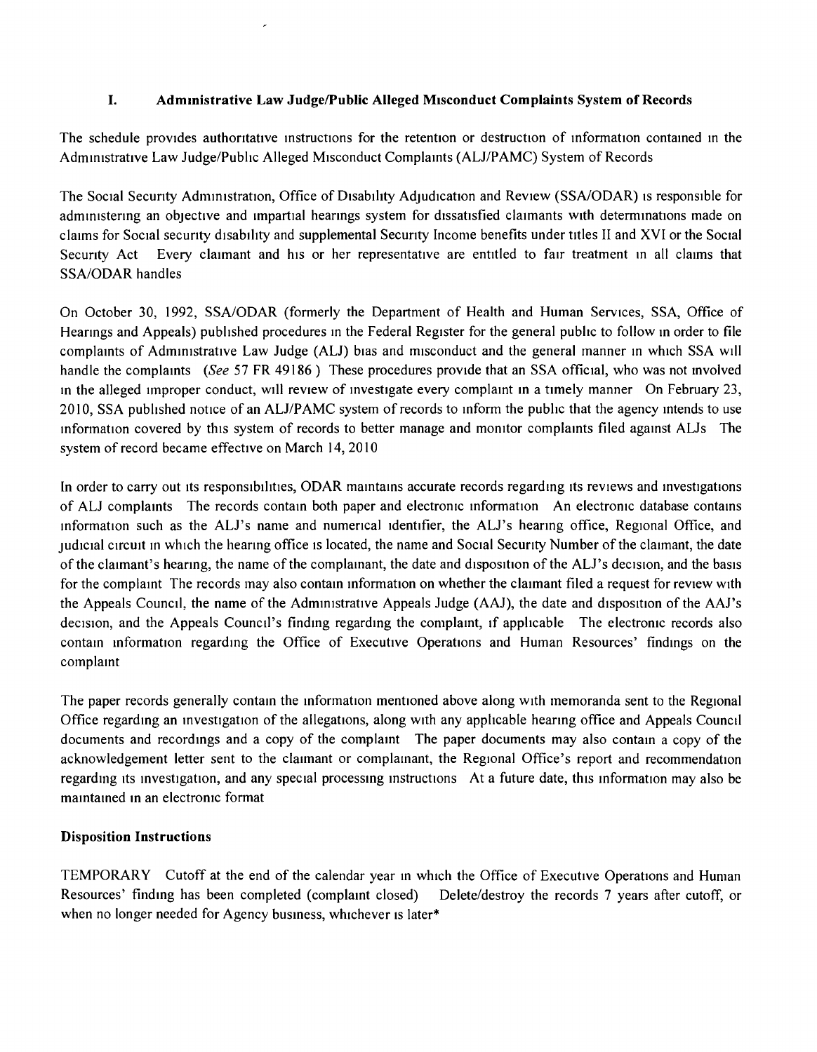## I. Admmistrative Law JudgelPublic Alleged Misconduct Complaints System of Records

The schedule provides authoritative instructions for the retention or destruction of information contained in the Administrative Law Judge/Public Alleged Misconduct Complaints (AU/PAMC) System of Records

The Social Security Administration, Office of Disability Adjudication and Review (SSA/ODAR) is responsible for administering an objective and impartial hearings system for dissatisfied claimants with determinations made on claims for Social security disability and supplemental Security Income benefits under titles II and XVI or the Social Security Act Every claimant and his or her representative are entitled to fair treatment in all claims that SSA/ODAR handles

On October 30, 1992, SSA/ODAR (formerly the Department of Health and Human Services, SSA, Office of Hearmgs and Appeals) published procedures in the Federal Register for the general public to follow m order to file complaints of Adrmrustrative Law Judge (AU) bras and misconduct and the general manner m which SSA will handle the complaints *(See* 57 FR 49186) These procedures provide that an SSA official, who was not involved In the alleged Improper conduct, will review of investigate every complaint in a timely manner On February 23, 2010, SSA published notice of an ALJ/PAMC system of records to inform the public that the agency intends to use information covered by this system of records to better manage and monitor complaints filed against ALJs The system of record became effective on March 14, 2010

In order to carry out its responsibilities, ODAR maintains accurate records regarding its reviews and investigations of AU complaints The records contain both paper and electronic mformation An electrornc database contams mformation such as the AU's name and nurnencal Identifier, the AU's heanng office, Regional Office, and Judicial circuit <sup>111</sup> which the hearing office IS located, the name and Social Security Number of the claimant, the date of the claimant's hearing, the name of the complainant, the date and disposition of the ALJ's decision, and the basis for the complamt The records may also contain mformation on whether the claimant filed a request for review with the Appeals Council, the name of the Administrative Appeals Judge (AAJ), the date and drsposition of the AAJ's decision, and the Appeals Council's finding regarding the complaint, if applicable The electronic records also contain mformation regardmg the Office of Executive Operations and Human Resources' findings on the complamt

The paper records generally contain the information mentioned above along with memoranda sent to the Regional Office regardmg an mvestrgatron of the allegations, along with any applicable heanng office and Appeals Council documents and recordings and a copy of the complaint. The paper documents may also contain a copy of the acknowledgement letter sent to the claimant or complamant, the Regional Office's report and recommendation regarding its investigation, and any special processing instructions At a future date, this information may also be maintained in an electronic format

## Disposition Instructions

TEMPORARY Cutoff at the end of the calendar year In which the Office of Executive Operations and Human Resources' finding has been completed (complaint closed) Delete/destroy the records 7 years after cutoff, or when no longer needed for Agency business, whichever is later\*